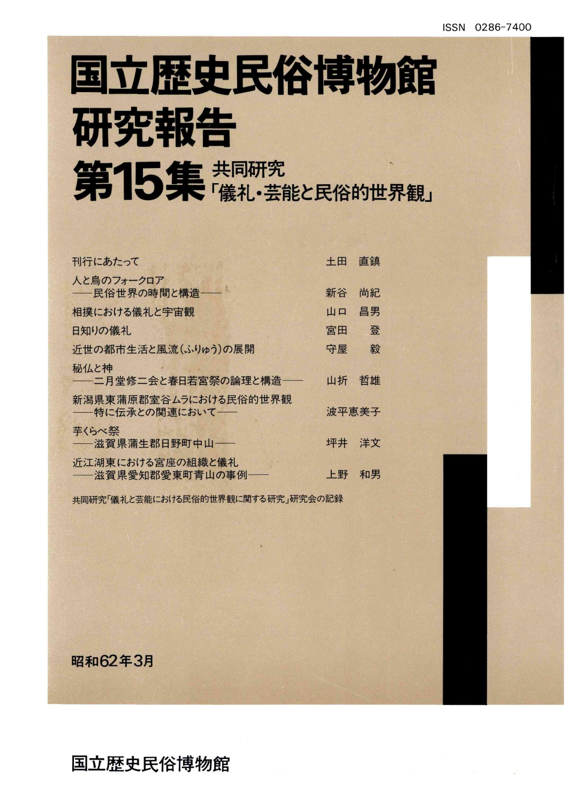# 国立歴史民俗博物館 研究報告 第15集 共同研究

| 刊行にあたって                                  | 十田    | 直鎮 |
|------------------------------------------|-------|----|
| 人と鳥のフォークロア<br><b>- 民俗世界の時間と構造</b> - ー    | 新谷    | 尚紀 |
| 相撲における儀礼と宇宙観                             | 山口    | 昌男 |
| 日知りの儀礼                                   | 宮田    | 登  |
| 近世の都市生活と風流(ふりゅう)の展開                      | 守屋    | 毅  |
| 秘仏と神<br>――二月堂修二会と春日若宮祭の論理と構造――           | 山折    | 哲雄 |
| 新潟県東蒲原郡室谷ムラにおける民俗的世界観<br>--特に伝承との関連において- | 波平恵美子 |    |
| 芋くらべ祭<br>——滋賀県蒲生郡日野町中山——                 | 坪井    | 洋文 |
| 近江湖東における宮座の組織と儀礼<br>——滋賀県愛知郡愛東町青山の事例——   | 上野    | 和男 |

共同研究「儀礼と芸能における民俗的世界観に関する研究」研究会の記録

昭和62年3月

国立歴史民俗博物館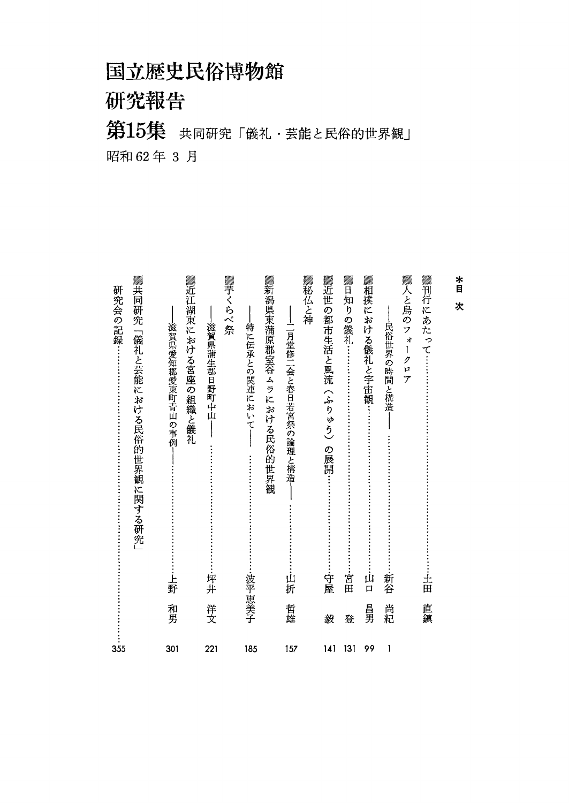## 国立歴史民俗博物館

研究報告

## 第15集 共同研究「儀礼·芸能と民俗的世界観」 昭和62年3月

| ▓刊行にあたって:<br>▓人と鳥のフォ<br>*<br>目<br>次<br>民俗世界の時間と構造<br>$\overline{1}$<br>ク<br>P<br>ァ<br>新谷<br>古田 | 尚紀<br>直鎮<br>1        |
|------------------------------------------------------------------------------------------------|----------------------|
|                                                                                                |                      |
| ▓日知りの儀礼……<br>▓相撲における儀礼と宇宙観<br>·宮田<br>ய்<br>$\Box$                                              | 昌男<br>登<br>131<br>99 |
| ▓近世の都市生活と風流(ふりゅう)<br>の展開:<br>守屋                                                                | 毅<br>141             |
| ▓秘仏と神<br>--1]月堂修11会と春日若宮祭の論理と構造<br>山折                                                          | 哲雄<br>157            |
| ▓新潟県東蒲原郡室谷ムラにおける民俗的世界観<br>特に伝承との関連において<br>波平恵美子                                                | 185                  |
| ▓荢くらべ祭<br>滋賀県蒲生郡日野町中山<br>:平井                                                                   | 洋文<br>221            |
| ▓近江湖東における宮座の<br>滋賀県愛知郡愛東町青山の事例<br>組織と儀礼<br>岳野                                                  | 和男<br>301            |
| ▓共同研究「儀礼と芸能における民俗的世界観に関する研究」<br>研究会の記録…                                                        | 355                  |
|                                                                                                |                      |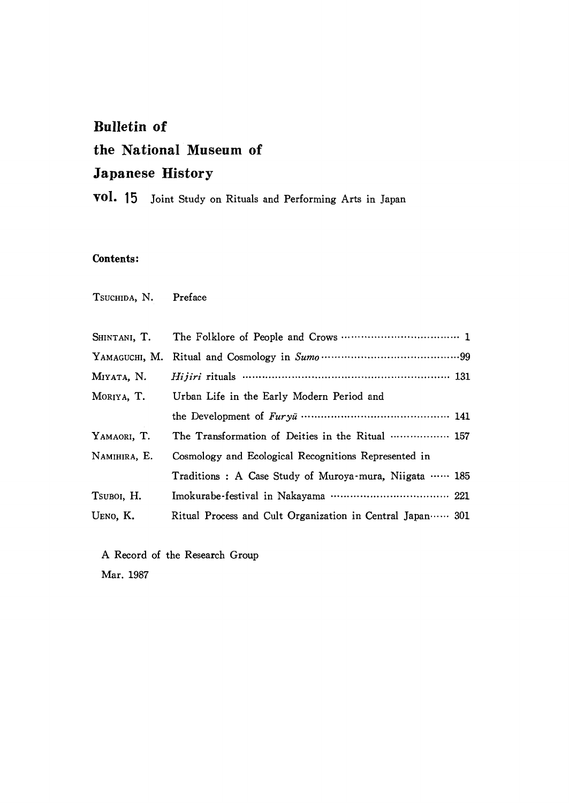### Bulletin of the National Museum of Japanese History

voL 15 Joint study on Rituals and Performing Arts in Japan

#### Contents:

TSUCHIDA, N. Preface

| SHINTANI, T. |                                                           |
|--------------|-----------------------------------------------------------|
|              |                                                           |
| MIYATA, N.   | Hijiri rituals ……………………………………………… 131                     |
| MORIYA, T.   | Urban Life in the Early Modern Period and                 |
|              |                                                           |
| YAMAORI, T.  | The Transformation of Deities in the Ritual  157          |
| NAMIHIRA, E. | Cosmology and Ecological Recognitions Represented in      |
|              | Traditions: A Case Study of Muroya-mura, Niigata  185     |
| TSUBOI, H.   | Imokurabe-festival in Nakayama ……………………………… 221           |
| UENO, K.     | Ritual Process and Cult Organization in Central Japan 301 |

A Record of the Research Group Mar.1987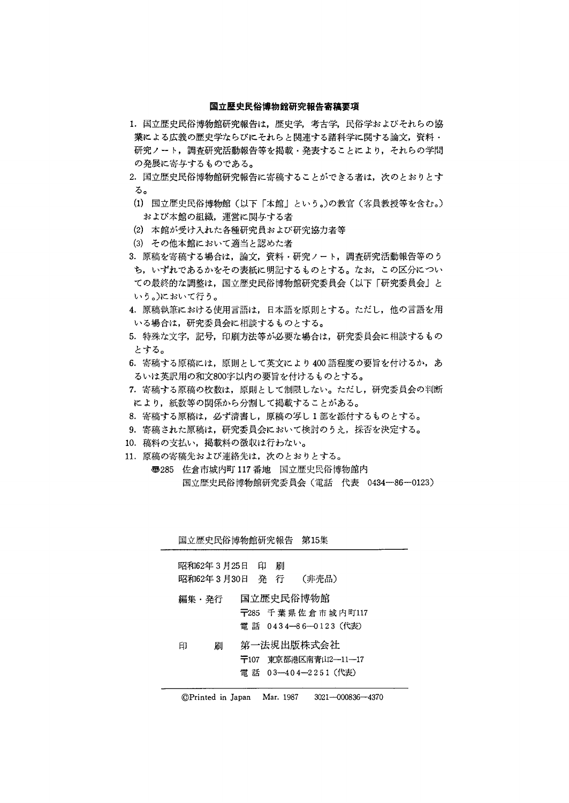#### 国立歴史民俗博物館研究報告寄稿要項

- 1.国立歴史民俗博物館研究報告は,歴史学,考古学,民俗学およびそれらの協 業による広義の歴史学ならびにそれらと関連する諸科学に関する論文,資料・ 研究ノート,調査研究活動報告等を掲載・発表することにより,それらの学問 の発展に寄与するものである。
- 2.国立歴史民俗博物館研究報告に寄稿することができる者は,次のとおりとす る。
- (1)国立歴史民俗博物館(以下「本館」という。)の教官(客員教授等を含む。) および本館の組織,運営に関与する者
- (2)本館が受け入れた各種研究員および研究協力者等
- (3)その他本館において適当と認めた者
- 3.原稿を寄稿する場合は,論文,資料・研究ノート,調査研究活動報告等のう ち,いずれであるかをその表紙に明記するものとする。なお,この区分につい ての最終的な調整は,国立歴史民俗博物館研究委員会(以下「研究委員会」と いう。)において行う。
- 4.原稿執筆における使用言語は,日本語を原則とする。ただし,他の言語を用 いる場合は,研究委員会に相談するものとする。
- 5.特殊な文字,記号,印刷方法等が必要な場合は,研究委員会に相談するもの とする。
- 6. 寄稿する原稿には、原則として英文により400語程度の要旨を付けるか,あ るいは英訳用の和文800字以内の要旨を付けるものとする。
- 7.寄稿する原稿の枚数は,原則として制限しない。ただし,研究委員会の判断 により,紙数等の関係から分割して掲載することがある。
- 8.寄稿する原稿は,必ず清書し,原稿の写し1部を添付するものとする。
- 9.寄稿された原稿は,研究委員会において検討のうえ,採否を決定する。
- 10.稿料の支払い,掲載料の徴収は行わない。
- 11.原稿の寄稿先および連絡先は,次のとおりとする。 ●285佐倉市城内町117番地 国立歴史民俗博物館内 国立歴史民俗博物館研究委員会(電話 代表 0434-86-0123)

| 国立歴史民俗博物館研究報告 第15集                   |           |                                                            |  |
|--------------------------------------|-----------|------------------------------------------------------------|--|
| 昭和62年 3 月25日 印<br>昭和62年 3 月30日  発  行 | 届         | (非売品)                                                      |  |
| 編集・発行                                | 国立歴史民俗博物館 | $\overline{+}$ 285 千葉県佐倉市城内町117<br>電 話 0434—86—0123(代表)    |  |
| 印<br>届![                             |           | 第一法規出版株式会社<br>〒107 東京都港区南青山2―11―17<br>電 話 03-404-2251 (代表) |  |